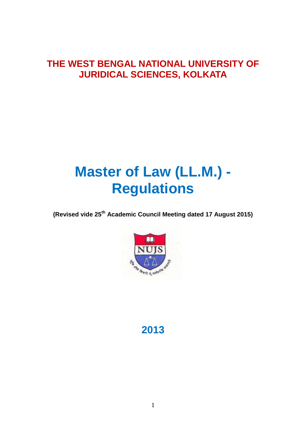### **THE WEST BENGAL NATIONAL UNIVERSITY OF JURIDICAL SCIENCES, KOLKATA**

# **Master of Law (LL.M.) - Regulations**

**(Revised vide 25th Academic Council Meeting dated 17 August 2015)**



**2013**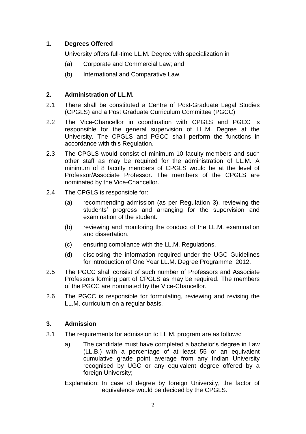#### **1. Degrees Offered**

University offers full-time LL.M. Degree with specialization in

- (a) Corporate and Commercial Law; and
- (b) International and Comparative Law.

#### **2. Administration of LL.M.**

- 2.1 There shall be constituted a Centre of Post-Graduate Legal Studies (CPGLS) and a Post Graduate Curriculum Committee (PGCC)
- 2.2 The Vice-Chancellor in coordination with CPGLS and PGCC is responsible for the general supervision of LL.M. Degree at the University. The CPGLS and PGCC shall perform the functions in accordance with this Regulation.
- 2.3 The CPGLS would consist of minimum 10 faculty members and such other staff as may be required for the administration of LL.M. A minimum of 8 faculty members of CPGLS would be at the level of Professor/Associate Professor. The members of the CPGLS are nominated by the Vice-Chancellor.
- 2.4 The CPGLS is responsible for:
	- (a) recommending admission (as per Regulation 3), reviewing the students' progress and arranging for the supervision and examination of the student.
	- (b) reviewing and monitoring the conduct of the LL.M. examination and dissertation.
	- (c) ensuring compliance with the LL.M. Regulations.
	- (d) disclosing the information required under the UGC Guidelines for introduction of One Year LL.M. Degree Programme, 2012.
- 2.5 The PGCC shall consist of such number of Professors and Associate Professors forming part of CPGLS as may be required. The members of the PGCC are nominated by the Vice-Chancellor.
- 2.6 The PGCC is responsible for formulating, reviewing and revising the LL.M. curriculum on a regular basis.

#### **3. Admission**

- 3.1 The requirements for admission to LL.M. program are as follows:
	- a) The candidate must have completed a bachelor's degree in Law (LL.B.) with a percentage of at least 55 or an equivalent cumulative grade point average from any Indian University recognised by UGC or any equivalent degree offered by a foreign University;
	- Explanation: In case of degree by foreign University, the factor of equivalence would be decided by the CPGLS.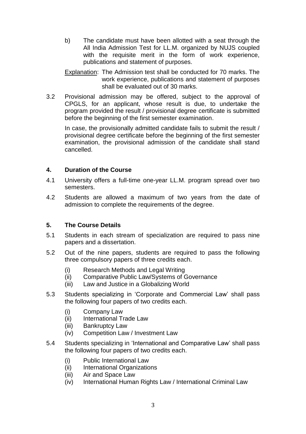b) The candidate must have been allotted with a seat through the All India Admission Test for LL.M. organized by NUJS coupled with the requisite merit in the form of work experience, publications and statement of purposes.

Explanation: The Admission test shall be conducted for 70 marks. The work experience, publications and statement of purposes shall be evaluated out of 30 marks.

3.2 Provisional admission may be offered, subject to the approval of CPGLS, for an applicant, whose result is due, to undertake the program provided the result / provisional degree certificate is submitted before the beginning of the first semester examination.

In case, the provisionally admitted candidate fails to submit the result / provisional degree certificate before the beginning of the first semester examination, the provisional admission of the candidate shall stand cancelled.

#### **4. Duration of the Course**

- 4.1 University offers a full-time one-year LL.M. program spread over two semesters.
- 4.2 Students are allowed a maximum of two years from the date of admission to complete the requirements of the degree.

#### **5. The Course Details**

- 5.1 Students in each stream of specialization are required to pass nine papers and a dissertation.
- 5.2 Out of the nine papers, students are required to pass the following three compulsory papers of three credits each.
	- (i) Research Methods and Legal Writing
	- (ii) Comparative Public Law/Systems of Governance
	- (iii) Law and Justice in a Globalizing World
- 5.3 Students specializing in 'Corporate and Commercial Law' shall pass the following four papers of two credits each.
	- (i) Company Law
	- (ii) International Trade Law
	- (iii) Bankruptcy Law
	- (iv) Competition Law / Investment Law
- 5.4 Students specializing in 'International and Comparative Law' shall pass the following four papers of two credits each.
	- (i) Public International Law
	- (ii) International Organizations
	- (iii) Air and Space Law
	- (iv) International Human Rights Law / International Criminal Law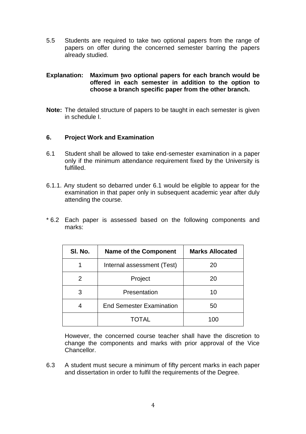5.5 Students are required to take two optional papers from the range of papers on offer during the concerned semester barring the papers already studied.

#### **Explanation: Maximum two optional papers for each branch would be offered in each semester in addition to the option to choose a branch specific paper from the other branch.**

**Note:** The detailed structure of papers to be taught in each semester is given in schedule I.

#### **6. Project Work and Examination**

- 6.1 Student shall be allowed to take end-semester examination in a paper only if the minimum attendance requirement fixed by the University is fulfilled.
- 6.1.1. Any student so debarred under 6.1 would be eligible to appear for the examination in that paper only in subsequent academic year after duly attending the course.
- \* 6.2 Each paper is assessed based on the following components and marks:

| SI. No. | <b>Name of the Component</b>    | <b>Marks Allocated</b> |
|---------|---------------------------------|------------------------|
|         | Internal assessment (Test)      | 20                     |
| 2       | Project                         | 20                     |
| 3       | Presentation                    | 10                     |
|         | <b>End Semester Examination</b> | 50                     |
|         | TOTAL                           | 100                    |

However, the concerned course teacher shall have the discretion to change the components and marks with prior approval of the Vice Chancellor.

6.3 A student must secure a minimum of fifty percent marks in each paper and dissertation in order to fulfil the requirements of the Degree.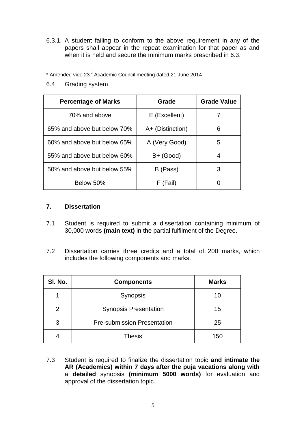6.3.1. A student failing to conform to the above requirement in any of the papers shall appear in the repeat examination for that paper as and when it is held and secure the minimum marks prescribed in 6.3.

\* Amended vide 23rd Academic Council meeting dated 21 June 2014

6.4 Grading system

| <b>Percentage of Marks</b>  | Grade            | <b>Grade Value</b> |
|-----------------------------|------------------|--------------------|
| 70% and above               | E (Excellent)    |                    |
| 65% and above but below 70% | A+ (Distinction) | 6                  |
| 60% and above but below 65% | A (Very Good)    | 5                  |
| 55% and above but below 60% | B+ (Good)        |                    |
| 50% and above but below 55% | B (Pass)         | 3                  |
| Below 50%                   | F (Fail)         |                    |

#### **7. Dissertation**

- 7.1 Student is required to submit a dissertation containing minimum of 30,000 words **(main text)** in the partial fulfilment of the Degree.
- 7.2 Dissertation carries three credits and a total of 200 marks, which includes the following components and marks.

| SI. No.       | <b>Components</b>                  | <b>Marks</b> |
|---------------|------------------------------------|--------------|
|               | Synopsis                           | 10           |
| $\mathcal{P}$ | <b>Synopsis Presentation</b>       | 15           |
| 3             | <b>Pre-submission Presentation</b> | 25           |
|               | <b>Thesis</b>                      | 150          |

7.3 Student is required to finalize the dissertation topic **and intimate the AR (Academics) within 7 days after the puja vacations along with** a **detailed** synopsis **(minimum 5000 words)** for evaluation and approval of the dissertation topic.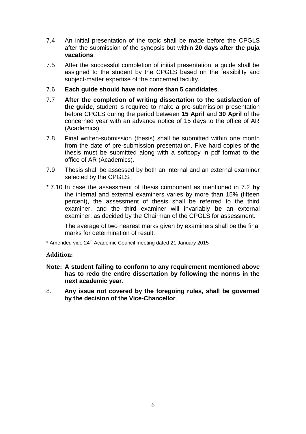- 7.4 An initial presentation of the topic shall be made before the CPGLS after the submission of the synopsis but within **20 days after the puja vacations**.
- 7.5 After the successful completion of initial presentation, a guide shall be assigned to the student by the CPGLS based on the feasibility and subject-matter expertise of the concerned faculty.
- 7.6 **Each guide should have not more than 5 candidates**.
- 7.7 **After the completion of writing dissertation to the satisfaction of the guide**, student is required to make a pre-submission presentation before CPGLS during the period between **15 April** and **30 April** of the concerned year with an advance notice of 15 days to the office of AR (Academics).
- 7.8 Final written-submission (thesis) shall be submitted within one month from the date of pre-submission presentation. Five hard copies of the thesis must be submitted along with a softcopy in pdf format to the office of AR (Academics).
- 7.9 Thesis shall be assessed by both an internal and an external examiner selected by the CPGLS.
- \* 7.10 In case the assessment of thesis component as mentioned in 7.2 **by** the internal and external examiners varies by more than 15% (fifteen percent), the assessment of thesis shall be referred to the third examiner, and the third examiner will invariably **be** an external examiner, as decided by the Chairman of the CPGLS for assessment.

The average of two nearest marks given by examiners shall be the final marks for determination of result.

\* Amended vide 24th Academic Council meeting dated 21 January 2015

#### **Addition:**

- **Note: A student failing to conform to any requirement mentioned above has to redo the entire dissertation by following the norms in the next academic year**.
- 8. **Any issue not covered by the foregoing rules, shall be governed by the decision of the Vice-Chancellor**.